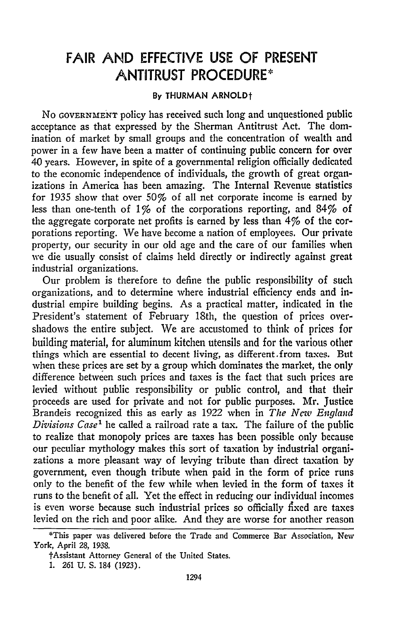## FAIR **AND EFFECTIVE USE** OF **PRESENT ANTITRUST** PROCEDURE\*

## **By THURMAN ARNOLDt**

No GOVERNMENT policy has received such long and unquestioned public acceptance as that expressed by the Sherman Antitrust Act. The domination of market by small groups and the concentration of wealth and power in a few have been a matter of continuing public concern for over 40 years. However, in spite of a governmental religion officially dedicated to the economic independence of individuals, the growth of great organizations in America has been amazing. The Internal Revenue statistics for 1935 show that over 50% of all net corporate income is earned by less than one-tenth of 1% of the corporations reporting, and 84% of the aggregate corporate net profits is earned by less than 4% of the corporations reporting. We have become a nation of employees. Our private property, our security in our old age and the care of our families when we die usually consist of claims held directly or indirectly against great industrial organizations.

Our problem is therefore to define the public responsibility of such organizations, and to determine where industrial efficiency ends and industrial empire building begins. As a practical matter, indicated in the President's statement of February 18th, the question of prices overshadows the entire subject. We are accustomed to think of prices for building material, for aluminum kitchen utensils and for the various other things which are essential to decent living, as different.from taxes. But when these prices are set by a group which dominates the market, the only difference between such prices and taxes is the fact that such prices are levied without public responsibility or public control, and that their proceeds are used for private and not for public purposes. Mr. Justice Brandeis recognized this as early as 1922 when in *The New England Divisions Case'* he called a railroad rate a tax. The failure of the public to realize that monopoly prices are taxes has been possible only because our peculiar mythology makes this sort of taxation by industrial organizations a more pleasant way of levying tribute than direct taxation by government, even though tribute when paid in the form of price runs only to the benefit of the few while when levied in the form of taxes it runs to the benefit of all. Yet the effect in reducing our individual incomes is even worse because such industrial prices so officially fixed are taxes levied on the rich and poor alike. And they are worse for another reason

<sup>\*</sup>This paper was delivered before the Trade and Commerce Bar Association, New York, April 28, **1938.**

tAssistant Attorney General of the United States.

<sup>1. 261</sup> U. S. 184 (1923).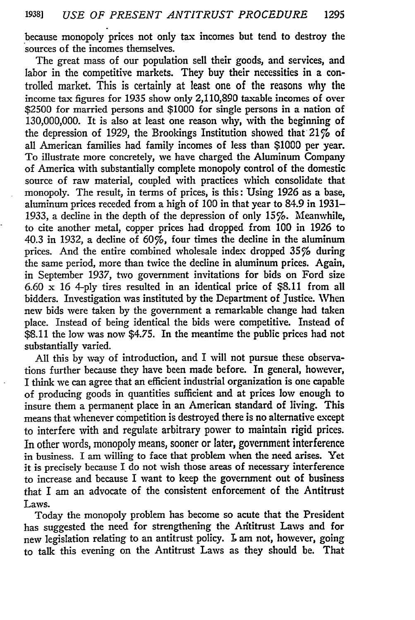because monopoly prices not only tax incomes but tend to destroy the sources of the incomes themselves.

The great mass of our population sell their goods, and services, and labor in the competitive markets. They buy their necessities in a controlled market. This is certainly at least one of the reasons why the income tax figures for 1935 show only 2,110,890 taxable incomes of over \$2500 for married persons and \$1000 for single persons in a nation of 130,000,000. It is also at least one reason why, with the beginning of the depression of 1929, the Brookings Institution showed that  $21\%$  of all American families had family incomes of less than \$1000 per year. To illustrate more concretely, we have charged the Aluminum Company of America with substantially complete monopoly control of the domestic source of raw material, coupled with practices which consolidate that monopoly. The result, in terms of prices, is this: Using 1926 as a base, aluminum prices receded from a high of 100 in that year to 84.9 in 1931- 1933, a decline in the depth of the depression of only 15%. Meanwhile, to cite another metal, copper prices had dropped from 100 in 1926 to 40.3 in 1932, a decline of  $60\%$ , four times the decline in the aluminum prices. And the entire combined wholesale index dropped 35% during the same period, more than twice the decline in aluminum prices. Again, in September 1937, two government invitations for bids on Ford size 6.60 x 16 4-ply tires resulted in an identical price of \$8.11 from all bidders. Investigation was instituted by the Department of Justice. When new bids were taken by the government a remarkable change had taken place. Instead of being identical the bids were competitive. Instead of \$8.11 the low was now \$4.75. In the meantime the public prices had not substantially varied.

All this by way of introduction, and I will not pursue these observations further because they have been made before. In general, however, I think we can agree that an efficient industrial organization is one capable of producing goods in quantities sufficient and at prices low enough to insure them a permanent place in an American standard of living. This means that whenever competition is destroyed there is no alternative except to interfere with and regulate arbitrary power to maintain rigid prices. In other words, monopoly means, sooner or later, government interference in business. I am willing to face that problem when the need arises. Yet it is precisely because I do not wish those areas of necessary interference to increase and because I want to keep the government out of business that I am an advocate of the consistent enforcement of the Antitrust Laws.

Today the monopoly problem has become so acute that the President has suggested the need for strengthening the Antitrust Laws and for new legislation relating to an antitrust policy. **I,** am not, however, going to talk this evening on the Antitrust Laws as they should be. That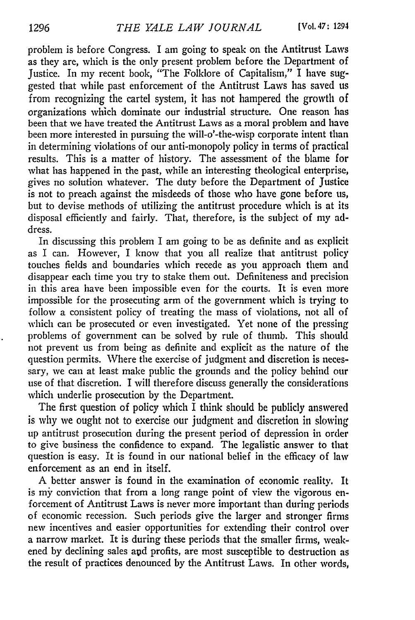problem is before Congress. I am going to speak on the Antitrust Laws as they are, which is the only present problem before the Department of Justice. In my recent book, "The Folklore of Capitalism," I have suggested that while past enforcement of the Antitrust Laws has saved us from recognizing the cartel system, it has not hampered the growth of organizations which dominate our industrial structure. One reason has been that we have treated the Antitrust Laws as a moral problem and have been more interested in pursuing the will-o'-the-wisp corporate intent than in determining violations of our anti-monopoly policy in terms of practical results. This is a matter of history. The assessment of the blame for what has happened in the past, while an interesting theological enterprise, gives no solution whatever. The duty before the Department of Justice is not to preach against the misdeeds of those who have gone before us, but to devise methods of utilizing the antitrust procedure which is at its disposal efficiently and fairly. That, therefore, is the subject of my address.

In discussing this problem I am going to be as definite and as explicit as I can. However, I know that you all realize that antitrust policy touches fields and boundaries which recede as you approach them and disappear each time you try to stake then out. Definiteness and precision in this area have been impossible even for the courts. It is even more impossible for the prosecuting arm of the government which is trying to follow a consistent policy of treating the mass of violations, not all of which can be prosecuted or even investigated. Yet none of the pressing problems of government can be solved by rule of thumb. This should not prevent us from being as definite and explicit as the nature of the question permits. Where the exercise of judgment and discretion is necessary, we can at least make public the grounds and the policy behind our use of that discretion. I will therefore discuss generally the considerations which underlie prosecution by the Department.

The first question of policy which  $\overline{I}$  think should be publicly answered is why we ought not to exercise our judgment and discretion in slowing up antitrust prosecution during the present period of depression in order to give business the confidence to expand. The legalistic answer to that question is easy. It is found in our national belief in the efficacy of law enforcement as an end in itself.

A better answer is found in the examination of economic reality. It is my conviction that from a long range point of view the vigorous enforcement of Antitrust Laws is never more important than during periods of economic recession. Such periods give the larger and stronger firms new incentives and easier opportunities for extending their control over a narrow market. It is during these periods that the smaller firms, weakened by declining sales apd profits, are most susceptible to destruction as the result of practices denounced by the Antitrust Laws. In other words,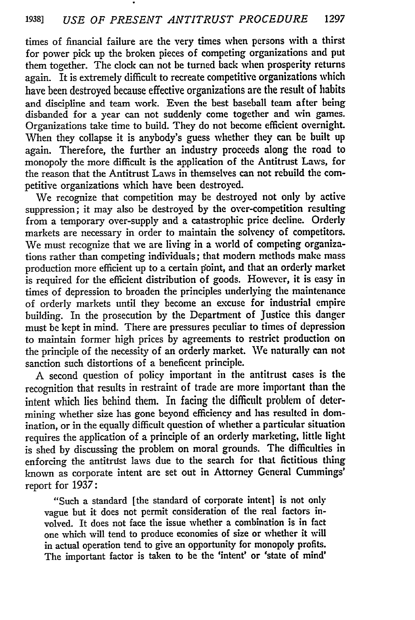times of financial failure are the very times when persons with a thirst for power pick up the broken pieces of competing organizations and put them together. The clock can not be turned back when prosperity returns again. It is extremely difficult to recreate competitive organizations which have been destroyed because effective organizations are the result of habits and discipline and team work. Even the best baseball team after being disbanded for a year can not suddenly come together and win games. Organizations take time to build. They do not become efficient overnight. When they collapse it is anybody's guess whether they can **be** built up again. Therefore, the further an industry proceeds along the road to monopoly the more difficult is the application of the Antitrust Laws, for the reason that the Antitrust Laws in themselves can not rebuild the competitive organizations which have been destroyed.

We recognize that competition may be destroyed not only by active suppression; it may also be destroyed by the over-competition resulting from a temporary over-supply and a catastrophic price decline. Orderly markets are necessary in order to maintain the solvency of competitors. We must recognize that we are living in a world of competing organizations rather than competing individuals; that modem methods make mass production more efficient up to a certain point, and that an orderly market is required for the efficient distribution of goods. However, it is easy in times of depression to broaden the principles underlying the maintenance of orderly markets until they become an excuse for industrial empire building. In the prosecution **by** the Department of Justice this danger must be kept in mind. There are pressures peculiar to times of depression to maintain former high prices by agreements to restrict production on the principle of the necessity of an orderly market. We naturally can not sanction such distortions of a beneficent principle.

**A** second question of policy important in the antitrust cases is the recognition that results in restraint of trade are more important than the intent which lies behind them. In facing the difficult problem of determining whether size has gone beyond efficiency and has resulted in domination, or in the equally difficult question of whether a particular situation requires the application of a principle of an orderly marketing, little light is shed **by** discussing the problem on moral grounds. The difficulties in enforcing the antitrust laws due to the search for that fictitious thing known as corporate intent are set out in Attorney General Cummings' report for **1937:**

"Such a standard [the standard of corporate intent] is not only vague but it does not permit consideration of the real factors involved. It does not face the issue whether a combination is in fact one which will tend to produce economies of size or whether it will in actual operation tend to give an opportunity for monopoly profits. The important factor is taken to be the 'intent' or 'state of mind'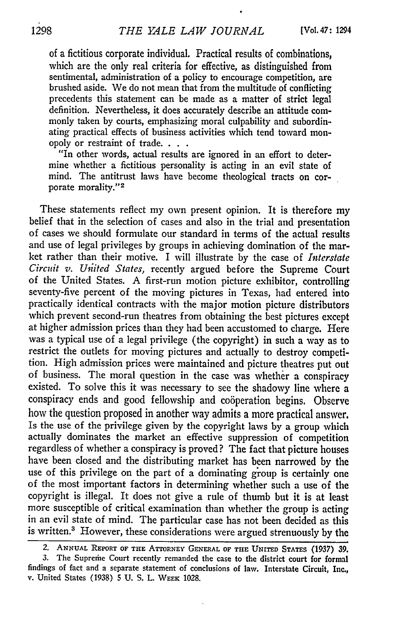of a fictitious corporate individual. Practical results of combinations, which are the only real criteria for effective, as distinguished from sentimental, administration of a policy to encourage competition, are brushed aside. We do not mean that from the multitude of conflicting precedents this statement can be made as a matter of strict legal definition. Nevertheless, it does accurately describe an attitude commonly taken by courts, emphasizing moral culpability and subordinating practical effects of business activities which tend toward monopoly or restraint of trade. . . .<br>"In other words, actual results are ignored in an effort to deter-

mine whether a fictitious personality is acting in an evil state of mind. The antitrust laws have become theological tracts on corporate morality."<sup>2</sup>

These statements reflect my own present opinion. It is therefore **my** belief that in the selection of cases and also in the trial and presentation of cases we should formulate our standard in terms of the actual results and use of legal privileges by groups in achieving domination of the market rather than their motive. I will illustrate by the case of *Interstate Circuit v. United States,* recently argued before the Supreme Court of the United States. A first-run motion picture exhibitor, controlling seventy-five percent of the moving pictures in Texas, had entered into practically identical contracts with the major motion picture distributors which prevent second-run theatres from obtaining the best pictures except at higher admission prices than they had been accustomed to charge. Here was a typical use of a legal privilege (the copyright) in such a way as to restrict the outlets for moving pictures and actually to destroy competition. High admission prices were maintained and picture theatres put out of business. The moral question in the case was whether a conspiracy existed. To solve this it was necessary to see the shadowy line where a conspiracy ends and good fellowship and cobperation begins. Observe how the question proposed in another way admits a more practical answer. Is the use of the privilege given by the copyright laws by a group which actually dominates the market an effective suppression of competition regardless of whether a conspiracy is proved? The fact that picture houses have been closed and the distributing market has been narrowed by the use of this privilege on the part of a dominating group is certainly one of the most important factors in determining whether such a use of the copyright is illegal. It does not give a rule of thumb but it is at least more susceptible of critical examination than whether the group is acting in an evil state of mind. The particular case has not been decided as this is written.<sup>3</sup> However, these considerations were argued strenuously by the

<sup>2.</sup> **ANNUAL REPORT OF THE ATTORNEY GENERAL OF THE UNITED STATES** (1937) **39.**

<sup>3.</sup> The Suprerhe Court recently remanded the case to the district court for formal findings of fact and a separate statement of conclusions of lav. Interstate Circuit, Inc., v. United States (1938) 5 U. S. L. **WEEX** 1028.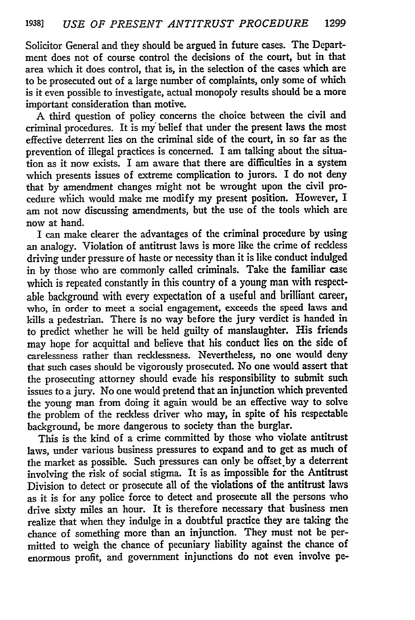Solicitor General and they should be argued in future cases. The Department does not of course control the decisions of the court, but in that area which it does control, that is, in the selection of the cases which are to be prosecuted out of a large number of complaints, only some of which is it even possible to investigate, actual monopoly results should be a more important consideration than motive.

A third question of policy concerns the choice between the civil and criminal procedures. It is my belief that under the present laws the most effective deterrent lies on the criminal side of the court, in so far as the prevention of illegal practices is concerned. I am talking about the situation as it now exists. I am aware that there are difficulties in a system which presents issues of extreme complication to jurors. I do not deny that by amendment changes might not be wrought upon the civil procedure which would make me modify my present position. However, I am not now discussing amendments, but the use of the tools which are now at hand.

I can make clearer the advantages of the criminal procedure by using an analogy. Violation of antitrust laws is more like the crime of reckless driving under pressure of haste or necessity than it is like conduct indulged in by those who are commonly called criminals. Take the familiar case which is repeated constantly in this country of a young man with respectable background with every expectation of a useful and brilliant career, who, in order to meet a social engagement, exceeds the speed laws and kills a pedestrian. There is no way before the jury verdict is handed in to predict whether he will be held guilty of manslaughter. His friends may hope for acquittal and believe that his conduct lies on the side of carelessness rather than recklessness. Nevertheless, no one would deny that such cases should be vigorously prosecuted. No one would assert that the prosecuting attorney should evade his responsibility to submit such issues to a jury. No one would pretend that an injunction which prevented the young man from doing it again would be an effective way to solve the problem of the reckless driver who may, in spite of his respectable background, be more dangerous to society than the burglar.

This is the kind of a crime committed by those who violate antitrust laws, under various business pressures to expand and to get as much of the market as possible. Such pressures can only be offset by a deterrent involving the risk of social stigma. It is as impossible for the Antitrust Division to detect or prosecute all of the violations of the antitrust laws as it is for any police force to detect and prosecute all the persons who drive sixty miles an hour. It is therefore necessary that business men realize that when they indulge in a doubtful practice they are taking the chance of something more than an injunction. They must not be permitted to weigh the chance of pecuniary liability against the chance of enormous profit, and government injunctions do not even involve pe-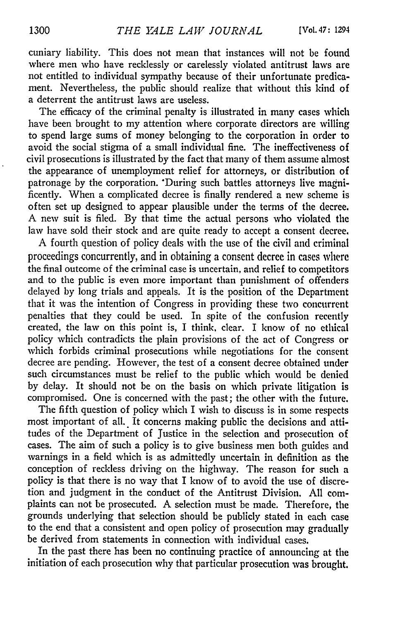cuniary liability. This does not mean that instances will not be found where men who have recklessly or carelessly violated antitrust laws are not entitled to individual sympathy because of their unfortunate predicament. Nevertheless, the public should realize that without this kind of a deterrent the antitrust laws are useless.

The efficacy of the criminal penalty is illustrated in many cases which have been brought to my attention where corporate directors are willing to spend large sums of money belonging to the corporation in order to avoid the social stigma of a small individual fine. The ineffectiveness of civil prosecutions is illustrated **by** the fact that many of them assume almost the appearance of unemployment relief for attorneys, or distribution of patronage **by** the corporation. 'During such battles attorneys live magnificently. When a complicated decree is finally rendered a **new** scheme is often set up designed to appear plausible under the terms of the decree. **A** new suit is filed. **By** that time the actual persons **who** violated the law have sold their stock and are quite ready to accept a consent decree.

**A** fourth question of policy deals with the use of the civil and criminal proceedings concurrently, and in obtaining a consent decree in cases where the final outcome of the criminal case is uncertain, and relief to competitors and to the public is even more important than punishment of offenders delayed **by** long trials and appeals. It is the position of the Department that it was the intention of Congress in providing these two concurrent penalties that they could be used. In spite of the confusion recently created, the law on this point is, I think, clear. I know of no ethical policy which contradicts the plain provisions of the act of Congress or which forbids criminal prosecutions while negotiations for the consent decree are pending. However, the test of a consent decree obtained under such circumstances must be relief to the public which would be denied **by** delay. It should not be on the basis on which private litigation is compromised. One is concerned with the past; the other with the future.

The fifth question of policy which I wish to discuss is in some respects most important of all. It concerns making public the decisions and attitudes of the Department of Justice in the selection and prosecution of cases. The aim of such a policy is to give business men both guides and warnings in a field which is as admittedly uncertain in definition as the conception of reckless driving on the highway. The reason for such a policy is that there is no way that I know of to avoid the use of discretion and judgment in the conduct of the Antitrust Division. **All** complaints can not be prosecuted. **A** selection must be made. Therefore, the grounds underlying that selection should be publicly stated in each case to the end that a consistent and open policy of prosecution may gradually be derived from statements in connection with individual cases.

In the past there has been no continuing practice of announcing at the initiation of each prosecution why that particular prosecution was brought.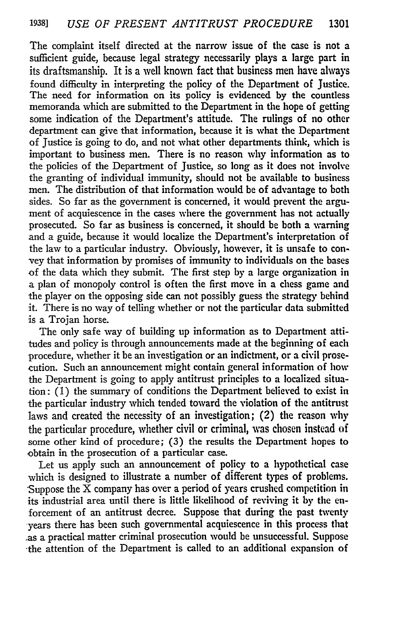The complaint itself directed at the narrow issue of the case is not a sufficient guide, because legal strategy necessarily plays a large part in its draftsmanship. It is a well known fact that business men have always found difficulty in interpreting the policy of the Department of Justice. The need for information on its policy is evidenced by the countless memoranda which are submitted to the Department in the hope of getting some indication of the Department's attitude. The rulings of no other department can give that information, because it is what the Department of Justice is going to do, and not what other departments think, which is important to business men. There is no reason why information as to the policies of the Department of Justice, so long as it does not involve the granting of individual immunity, should not be available to business men. The distribution of that information would be of advantage to both sides. So far as the government is concerned, it would prevent the argument of acquiescence in the cases where the government has not actually prosecuted. So far as business is concerned, it should be both a warning and a guide, because it would localize the Department's interpretation of the law to a particular industry. Obviously, however, it is unsafe to convey that information by promises of immunity to individuals on the bases of the data which they submit. The first step by a large organization in a plan of monopoly control is often the first move in a chess game and the player on the opposing side can not possibly guess the strategy behind it. There is no way of telling whether or not the particular data submitted is a Trojan horse.

The only safe way of building up information as to Department attitudes and policy is through announcements made at the beginning of each procedure, whether it be an investigation or an indictment, or a civil prosecution. Such an announcement might contain general information of how the Department is going to apply antitrust principles to a localized situation: (1) the summary of conditions the Department believed to exist in the particular industry which tended toward the violation of the antitrust laws and created the necessity of an investigation; (2) the reason why the particular procedure, whether civil or criminal, was chosen instead of some other kind of procedure; (3) the results the Department hopes to ,obtain in the prosecution of a particular case.

Let us apply such an announcement of policy to a hypothetical case which is designed to illustrate a number of different types of problems. Suppose the  $\overline{X}$  company has over a period of years crushed competition in its industrial area until there is little likelihood of reviving it by the enforcement of an antitrust decree. Suppose that during the past twenty years there has been such governmental acquiescence in this process that .as a practical matter criminal prosecution would be unsuccessful. Suppose -the attention of the Department is called to an additional expansion of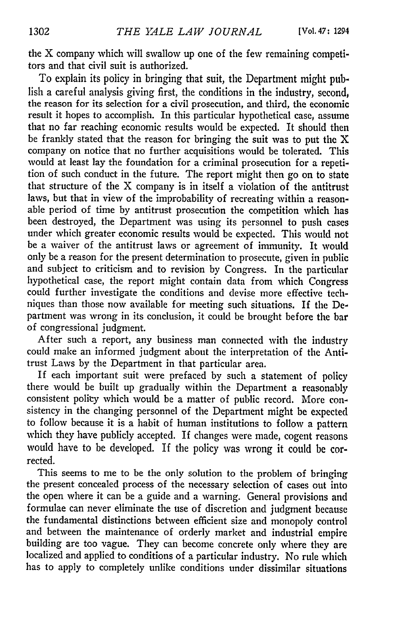the X company which will swallow up one of the few remaining competitors and that civil suit is authorized.

To explain its policy in bringing that suit, the Department might publish a careful analysis giving first, the conditions in the industry, second, the reason for its selection for a civil prosecution, and third, the economic result it hopes to accomplish. In this particular hypothetical case, assume that no far reaching economic results would be expected. It should then be frankly stated that the reason for bringing the suit was to put the X company on notice that no further acquisitions would be tolerated. This would at least lay the foundation for a criminal prosecution for a repetition of such conduct in the future. The report might then go on to state that structure of the X company is in itself a violation of the antitrust laws, but that in view of the improbability of recreating within a reasonable period of time by antitrust prosecution the competition which has been destroyed, the Department was using its personnel to push cases under which greater economic results would be expected. This would not be a waiver of the antitrust laws or agreement of immunity. It would only be a reason for the present determination to prosecute, given in public and subject to criticism and to revision by Congress. In the particular hypothetical case, the report might contain data from which Congress could further investigate the conditions and devise more effective techniques than those now available for meeting such situations. If the Department was wrong in its conclusion, it could be brought before the bar of congressional judgment.

After such a report, any business man connected with the industry could make an informed judgment about the interpretation of the Antitrust Laws by the Department in that particular area.

If each important suit were prefaced by such a statement of policy there would be built up gradually within the Department a reasonably consistent polity which would be a matter of public record. More consistency in the changing personnel of the Department might be expected to follow because it is a habit of human institutions to follow a pattern which they have publicly accepted. If changes were made, cogent reasons would have to be developed. If the policy was wrong it could be corrected.

This seems to me to be the only solution to the problem of bringing the present concealed process of the necessary selection of cases out into the open where it can be a guide and a warning. General provisions and formulae can never eliminate the use of discretion and judgment because the fundamental distinctions between efficient size and monopoly control and between the maintenance of orderly market and industrial empire building are too vague. They can become concrete only where they are localized and applied to conditions of a particular industry. No rule which has to apply to completely unlike conditions under dissimilar situations